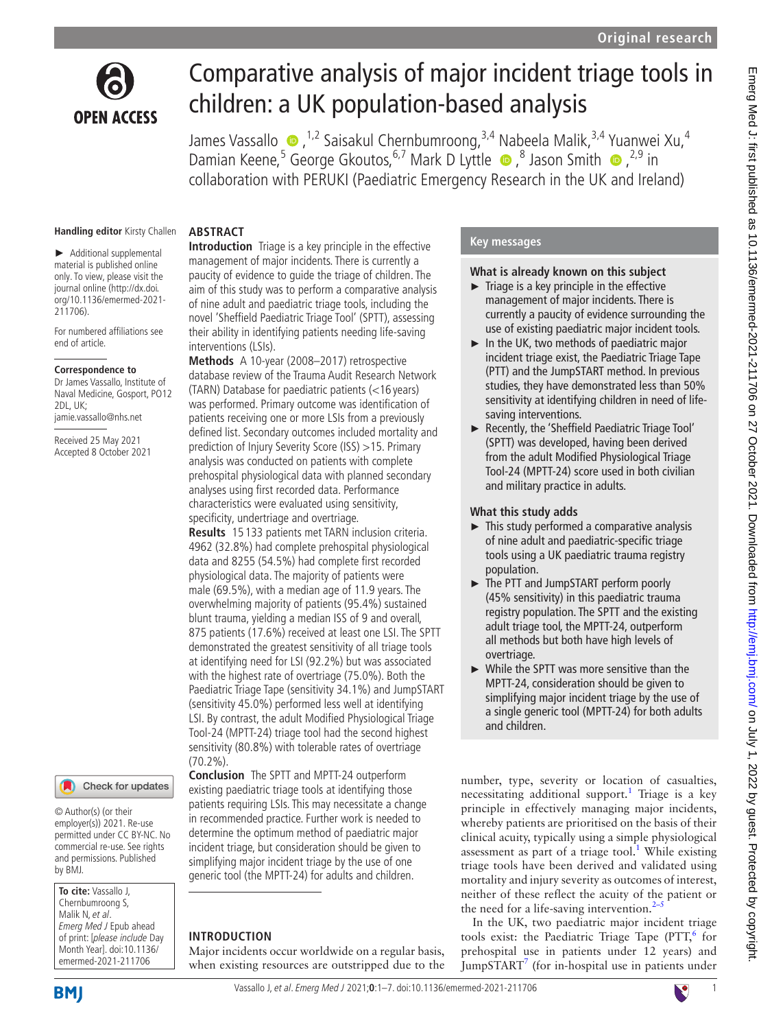

# Comparative analysis of major incident triage tools in children: a UK population-based analysis

James Vassallo  $\bullet$  , <sup>1,2</sup> Saisakul Chernbumroong, <sup>3,4</sup> Nabeela Malik, <sup>3,4</sup> Yuanwei Xu, <sup>4</sup> DamianKeene,<sup>5</sup> George Gkoutos,<sup>6,7</sup> Mark D Lyttle ●,<sup>8</sup> Jason Smith ●,<sup>2,9</sup> in collaboration with PERUKI (Paediatric Emergency Research in the UK and Ireland)

#### **Handling editor** Kirsty Challen

► Additional supplemental material is published online only. To view, please visit the journal online ([http://dx.doi.](http://dx.doi.org/10.1136/emermed-2021-211706) [org/10.1136/emermed-2021-](http://dx.doi.org/10.1136/emermed-2021-211706) [211706](http://dx.doi.org/10.1136/emermed-2021-211706)).

For numbered affiliations see end of article.

#### **Correspondence to**

Dr James Vassallo, Institute of Naval Medicine, Gosport, PO12 2DL, UK; jamie.vassallo@nhs.net

Received 25 May 2021 Accepted 8 October 2021

# Check for updates

© Author(s) (or their employer(s)) 2021. Re-use permitted under CC BY-NC. No commercial re-use. See rights and permissions. Published by BMJ.

**To cite:** Vassallo J, Chernbumroong S, Malik N, et al. Emerg Med J Epub ahead of print: [please include Day Month Year]. doi:10.1136/ emermed-2021-211706

# **ABSTRACT**

**Introduction** Triage is a key principle in the effective management of major incidents. There is currently a paucity of evidence to guide the triage of children. The aim of this study was to perform a comparative analysis of nine adult and paediatric triage tools, including the novel 'Sheffield Paediatric Triage Tool' (SPTT), assessing their ability in identifying patients needing life-saving interventions (LSIs).

**Methods** A 10-year (2008–2017) retrospective database review of the Trauma Audit Research Network (TARN) Database for paediatric patients (<16 years) was performed. Primary outcome was identification of patients receiving one or more LSIs from a previously defined list. Secondary outcomes included mortality and prediction of Injury Severity Score (ISS) >15. Primary analysis was conducted on patients with complete prehospital physiological data with planned secondary analyses using first recorded data. Performance characteristics were evaluated using sensitivity, specificity, undertriage and overtriage.

**Results** 15 133 patients met TARN inclusion criteria. 4962 (32.8%) had complete prehospital physiological data and 8255 (54.5%) had complete first recorded physiological data. The majority of patients were male (69.5%), with a median age of 11.9 years. The overwhelming majority of patients (95.4%) sustained blunt trauma, yielding a median ISS of 9 and overall, 875 patients (17.6%) received at least one LSI. The SPTT demonstrated the greatest sensitivity of all triage tools at identifying need for LSI (92.2%) but was associated with the highest rate of overtriage (75.0%). Both the Paediatric Triage Tape (sensitivity 34.1%) and JumpSTART (sensitivity 45.0%) performed less well at identifying LSI. By contrast, the adult Modified Physiological Triage Tool-24 (MPTT-24) triage tool had the second highest sensitivity (80.8%) with tolerable rates of overtriage (70.2%).

**Conclusion** The SPTT and MPTT-24 outperform existing paediatric triage tools at identifying those patients requiring LSIs. This may necessitate a change in recommended practice. Further work is needed to determine the optimum method of paediatric major incident triage, but consideration should be given to simplifying major incident triage by the use of one generic tool (the MPTT-24) for adults and children.

#### **INTRODUCTION**

Major incidents occur worldwide on a regular basis, when existing resources are outstripped due to the

#### **Key messages**

### **What is already known on this subject**

- $\blacktriangleright$  Triage is a key principle in the effective management of major incidents. There is currently a paucity of evidence surrounding the use of existing paediatric major incident tools.
- ► In the UK, two methods of paediatric major incident triage exist, the Paediatric Triage Tape (PTT) and the JumpSTART method. In previous studies, they have demonstrated less than 50% sensitivity at identifying children in need of lifesaving interventions.
- ► Recently, the 'Sheffield Paediatric Triage Tool' (SPTT) was developed, having been derived from the adult Modified Physiological Triage Tool-24 (MPTT-24) score used in both civilian and military practice in adults.

#### **What this study adds**

- $\blacktriangleright$  This study performed a comparative analysis of nine adult and paediatric-specific triage tools using a UK paediatric trauma registry population.
- ► The PTT and JumpSTART perform poorly (45% sensitivity) in this paediatric trauma registry population. The SPTT and the existing adult triage tool, the MPTT-24, outperform all methods but both have high levels of overtriage.
- ► While the SPTT was more sensitive than the MPTT-24, consideration should be given to simplifying major incident triage by the use of a single generic tool (MPTT-24) for both adults and children.

number, type, severity or location of casualties, necessitating additional support.<sup>[1](#page-5-0)</sup> Triage is a key principle in effectively managing major incidents, whereby patients are prioritised on the basis of their clinical acuity, typically using a simple physiological assessment as part of a triage tool.<sup>[1](#page-5-0)</sup> While existing triage tools have been derived and validated using mortality and injury severity as outcomes of interest, neither of these reflect the acuity of the patient or the need for a life-saving intervention. $2-5$ 

In the UK, two paediatric major incident triage tools exist: the Paediatric Triage Tape (PTT, $6$  for prehospital use in patients under 12 years) and JumpSTART $^7$  $^7$  (for in-hospital use in patients under



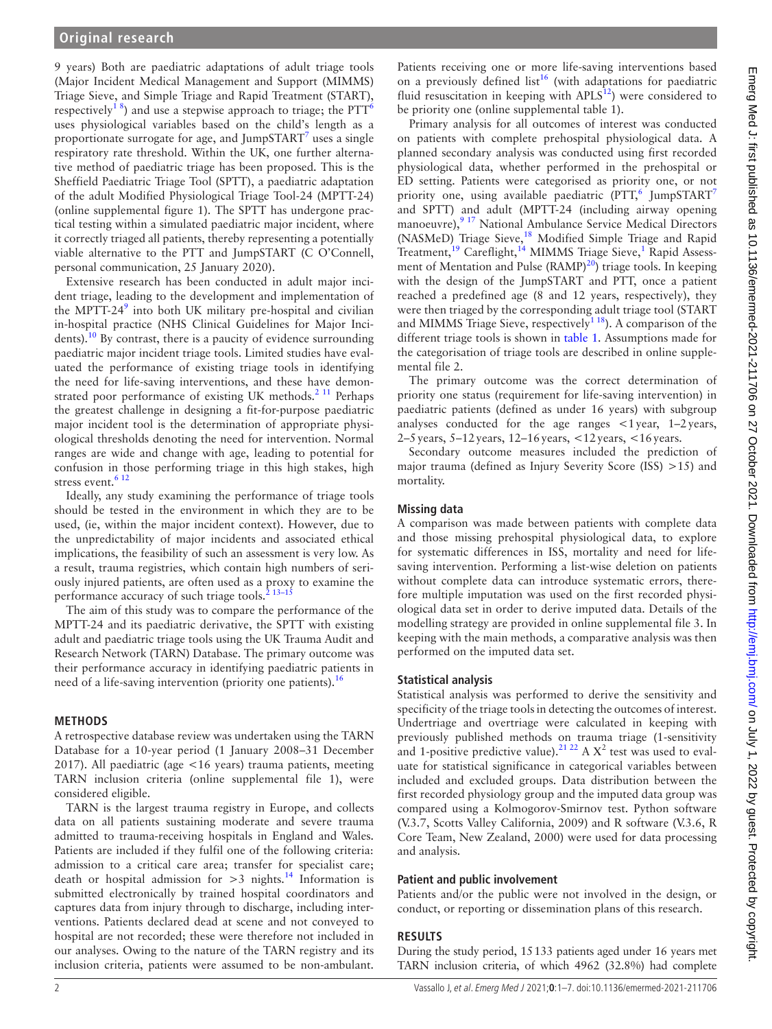9 years) Both are paediatric adaptations of adult triage tools (Major Incident Medical Management and Support (MIMMS) Triage Sieve, and Simple Triage and Rapid Treatment (START), respectively<sup>18</sup>) and use a stepwise approach to triage; the PTT<sup>6</sup> uses physiological variables based on the child's length as a proportionate surrogate for age, and JumpSTART $^7$  $^7$  uses a single respiratory rate threshold. Within the UK, one further alternative method of paediatric triage has been proposed. This is the Sheffield Paediatric Triage Tool (SPTT), a paediatric adaptation of the adult Modified Physiological Triage Tool-24 (MPTT-24) [\(online supplemental figure 1](https://dx.doi.org/10.1136/emermed-2021-211706)). The SPTT has undergone practical testing within a simulated paediatric major incident, where it correctly triaged all patients, thereby representing a potentially viable alternative to the PTT and JumpSTART (C O'Connell, personal communication, 25 January 2020).

Extensive research has been conducted in adult major incident triage, leading to the development and implementation of the MPTT-24 $9$  into both UK military pre-hospital and civilian in-hospital practice (NHS Clinical Guidelines for Major Incidents).<sup>10</sup> By contrast, there is a paucity of evidence surrounding paediatric major incident triage tools. Limited studies have evaluated the performance of existing triage tools in identifying the need for life-saving interventions, and these have demon-strated poor performance of existing UK methods.<sup>[2 11](#page-5-1)</sup> Perhaps the greatest challenge in designing a fit-for-purpose paediatric major incident tool is the determination of appropriate physiological thresholds denoting the need for intervention. Normal ranges are wide and change with age, leading to potential for confusion in those performing triage in this high stakes, high stress event.<sup>612</sup>

Ideally, any study examining the performance of triage tools should be tested in the environment in which they are to be used, (ie, within the major incident context). However, due to the unpredictability of major incidents and associated ethical implications, the feasibility of such an assessment is very low. As a result, trauma registries, which contain high numbers of seriously injured patients, are often used as a proxy to examine the performance accuracy of such triage tools.<sup>2</sup> 13-15

The aim of this study was to compare the performance of the MPTT-24 and its paediatric derivative, the SPTT with existing adult and paediatric triage tools using the UK Trauma Audit and Research Network (TARN) Database. The primary outcome was their performance accuracy in identifying paediatric patients in need of a life-saving intervention (priority one patients).<sup>[16](#page-6-3)</sup>

## **METHODS**

A retrospective database review was undertaken using the TARN Database for a 10-year period (1 January 2008–31 December 2017). All paediatric (age <16 years) trauma patients, meeting TARN inclusion criteria [\(online supplemental file 1\)](https://dx.doi.org/10.1136/emermed-2021-211706), were considered eligible.

TARN is the largest trauma registry in Europe, and collects data on all patients sustaining moderate and severe trauma admitted to trauma-receiving hospitals in England and Wales. Patients are included if they fulfil one of the following criteria: admission to a critical care area; transfer for specialist care; death or hospital admission for  $>3$  nights.<sup>[14](#page-6-4)</sup> Information is submitted electronically by trained hospital coordinators and captures data from injury through to discharge, including interventions. Patients declared dead at scene and not conveyed to hospital are not recorded; these were therefore not included in our analyses. Owing to the nature of the TARN registry and its inclusion criteria, patients were assumed to be non-ambulant.

Patients receiving one or more life-saving interventions based on a previously defined list<sup>[16](#page-6-3)</sup> (with adaptations for paediatric fluid resuscitation in keeping with  $APLS^{12}$ ) were considered to be priority one ([online supplemental table 1](https://dx.doi.org/10.1136/emermed-2021-211706)).

Primary analysis for all outcomes of interest was conducted on patients with complete prehospital physiological data. A planned secondary analysis was conducted using first recorded physiological data, whether performed in the prehospital or ED setting. Patients were categorised as priority one, or not priority one, using available paediatric (PTT,<sup>[6](#page-5-2)</sup> JumpSTART<sup>[7](#page-6-0)</sup> and SPTT) and adult (MPTT-24 (including airway opening manoeuvre),<sup>9 17</sup> National Ambulance Service Medical Directors (NASMeD) Triage Sieve,<sup>18</sup> Modified Simple Triage and Rapid Treatment,<sup>[19](#page-6-7)</sup> Careflight,<sup>[1](#page-5-0)4</sup> MIMMS Triage Sieve,<sup>1</sup> Rapid Assess-ment of Mentation and Pulse (RAMP)<sup>[20](#page-6-8)</sup>) triage tools. In keeping with the design of the JumpSTART and PTT, once a patient reached a predefined age (8 and 12 years, respectively), they were then triaged by the corresponding adult triage tool (START and MIMMS Triage Sieve, respectively<sup> $118$ </sup>). A comparison of the different triage tools is shown in [table](#page-2-0) 1. Assumptions made for the categorisation of triage tools are described in [online supple](https://dx.doi.org/10.1136/emermed-2021-211706)[mental file 2](https://dx.doi.org/10.1136/emermed-2021-211706).

The primary outcome was the correct determination of priority one status (requirement for life-saving intervention) in paediatric patients (defined as under 16 years) with subgroup analyses conducted for the age ranges <1year, 1–2years, 2–5years, 5–12years, 12–16years, <12years, <16years.

Secondary outcome measures included the prediction of major trauma (defined as Injury Severity Score (ISS) >15) and mortality.

# **Missing data**

A comparison was made between patients with complete data and those missing prehospital physiological data, to explore for systematic differences in ISS, mortality and need for lifesaving intervention. Performing a list-wise deletion on patients without complete data can introduce systematic errors, therefore multiple imputation was used on the first recorded physiological data set in order to derive imputed data. Details of the modelling strategy are provided in [online supplemental file 3](https://dx.doi.org/10.1136/emermed-2021-211706). In keeping with the main methods, a comparative analysis was then performed on the imputed data set.

## **Statistical analysis**

Statistical analysis was performed to derive the sensitivity and specificity of the triage tools in detecting the outcomes of interest. Undertriage and overtriage were calculated in keeping with previously published methods on trauma triage (1-sensitivity and 1-positive predictive value).<sup>21 22</sup> A  $X^2$  test was used to evaluate for statistical significance in categorical variables between included and excluded groups. Data distribution between the first recorded physiology group and the imputed data group was compared using a Kolmogorov-Smirnov test. Python software (V.3.7, Scotts Valley California, 2009) and R software (V.3.6, R Core Team, New Zealand, 2000) were used for data processing and analysis.

## **Patient and public involvement**

Patients and/or the public were not involved in the design, or conduct, or reporting or dissemination plans of this research.

# **RESULTS**

During the study period, 15133 patients aged under 16 years met TARN inclusion criteria, of which 4962 (32.8%) had complete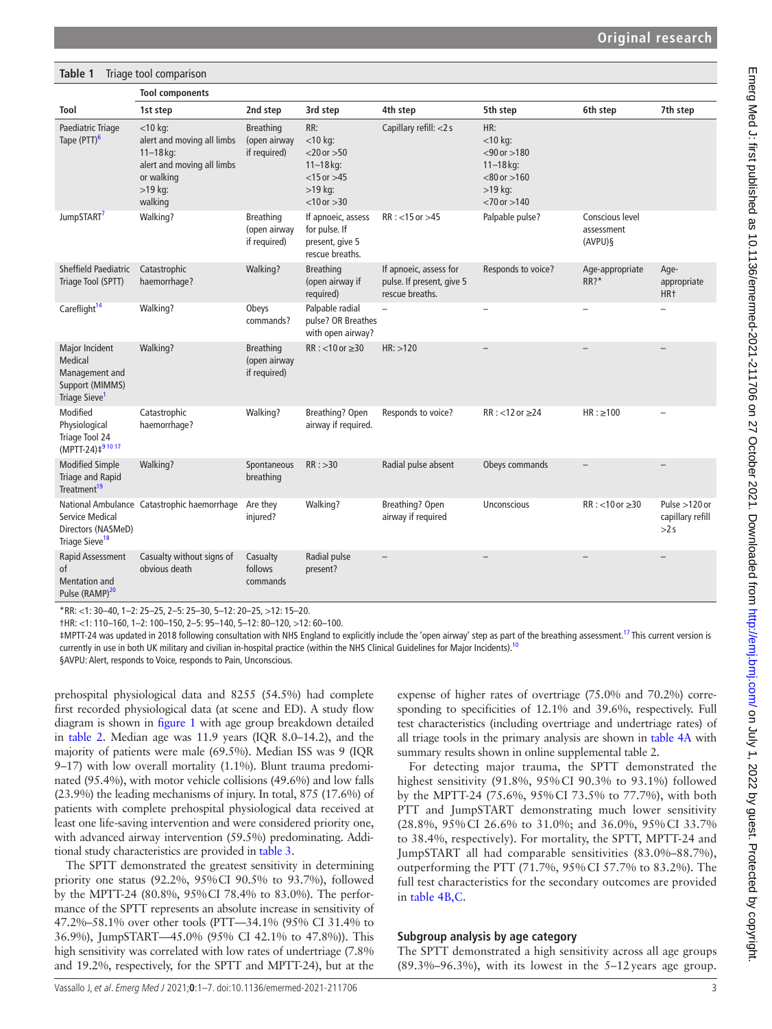<span id="page-2-0"></span>

| Table 1<br>Triage tool comparison                                                           |                                                                                                                               |                                                  |                                                                                                             |                                                                        |                                                                                                                |                                          |                                            |
|---------------------------------------------------------------------------------------------|-------------------------------------------------------------------------------------------------------------------------------|--------------------------------------------------|-------------------------------------------------------------------------------------------------------------|------------------------------------------------------------------------|----------------------------------------------------------------------------------------------------------------|------------------------------------------|--------------------------------------------|
|                                                                                             | <b>Tool components</b>                                                                                                        |                                                  |                                                                                                             |                                                                        |                                                                                                                |                                          |                                            |
| Tool                                                                                        | 1st step                                                                                                                      | 2nd step                                         | 3rd step                                                                                                    | 4th step                                                               | 5th step                                                                                                       | 6th step                                 | 7th step                                   |
| Paediatric Triage<br>Tape (PTT) <sup>6</sup>                                                | $<$ 10 kg:<br>alert and moving all limbs<br>$11 - 18$ kg:<br>alert and moving all limbs<br>or walking<br>$>19$ kg:<br>walking | <b>Breathing</b><br>(open airway<br>if required) | RR:<br>$<$ 10 kg:<br>$<$ 20 or $>$ 50<br>$11 - 18$ kg:<br>$<$ 15 or $>$ 45<br>$>19$ kg:<br>$< 10$ or $> 30$ | Capillary refill: <2 s                                                 | HR:<br>$<$ 10 kg:<br>$< 90$ or $> 180$<br>$11 - 18$ kg:<br>$< 80$ or $> 160$<br>$>19$ kg:<br>$<$ 70 or $>$ 140 |                                          |                                            |
| JumpSTART <sup>7</sup>                                                                      | Walking?                                                                                                                      | <b>Breathing</b><br>(open airway<br>if required) | If apnoeic, assess<br>for pulse. If<br>present, give 5<br>rescue breaths.                                   | $RR: < 15$ or $>45$                                                    | Palpable pulse?                                                                                                | Conscious level<br>assessment<br>(AVPU)§ |                                            |
| Sheffield Paediatric<br>Triage Tool (SPTT)                                                  | Catastrophic<br>haemorrhage?                                                                                                  | Walking?                                         | <b>Breathing</b><br>(open airway if<br>required)                                                            | If apnoeic, assess for<br>pulse. If present, give 5<br>rescue breaths. | Responds to voice?                                                                                             | Age-appropriate<br>RR?                   | Age-<br>appropriate<br>HR <sup>+</sup>     |
| Careflight <sup>14</sup>                                                                    | Walking?                                                                                                                      | Obeys<br>commands?                               | Palpable radial<br>pulse? OR Breathes<br>with open airway?                                                  | $\overline{a}$                                                         |                                                                                                                |                                          |                                            |
| Major Incident<br>Medical<br>Management and<br>Support (MIMMS)<br>Triage Sieve <sup>1</sup> | Walking?                                                                                                                      | <b>Breathing</b><br>(open airway<br>if required) | $RR: < 10$ or $\geq 30$                                                                                     | HR: > 120                                                              |                                                                                                                |                                          |                                            |
| Modified<br>Physiological<br>Triage Tool 24<br>(MPTT-24) ‡91017                             | Catastrophic<br>haemorrhage?                                                                                                  | Walking?                                         | Breathing? Open<br>airway if required.                                                                      | Responds to voice?                                                     | $RR: < 12$ or $\geq 24$                                                                                        | $HR: \geq 100$                           |                                            |
| <b>Modified Simple</b><br><b>Triage and Rapid</b><br>Treatment <sup>19</sup>                | Walking?                                                                                                                      | Spontaneous<br>breathing                         | RR: >30                                                                                                     | Radial pulse absent                                                    | Obeys commands                                                                                                 |                                          |                                            |
| Service Medical<br>Directors (NASMeD)<br>Triage Sieve <sup>18</sup>                         | National Ambulance Catastrophic haemorrhage                                                                                   | Are they<br>injured?                             | Walking?                                                                                                    | Breathing? Open<br>airway if required                                  | <b>Unconscious</b>                                                                                             | $RR: < 10$ or $\geq 30$                  | Pulse $>120$ or<br>capillary refill<br>>2s |
| <b>Rapid Assessment</b><br>of<br><b>Mentation and</b><br>Pulse (RAMP) <sup>20</sup>         | Casualty without signs of<br>obvious death                                                                                    | Casualty<br>follows<br>commands                  | Radial pulse<br>present?                                                                                    | $\overline{\phantom{0}}$                                               |                                                                                                                |                                          | $\overline{\phantom{0}}$                   |

\*RR: <1: 30–40, 1–2: 25–25, 2–5: 25–30, 5–12: 20–25, >12: 15–20.

†HR: <1: 110–160, 1–2: 100–150, 2–5: 95–140, 5–12: 80–120, >12: 60–100.

‡MPTT-24 was updated in 2018 following consultation with NHS England to explicitly include the 'open airway' step as part of the breathing assessment[.17](#page-6-10) This current version is currently in use in both UK military and civilian in-hospital practice (within the NHS Clinical Guidelines for Major Incidents).<sup>11</sup>

§AVPU: Alert, responds to Voice, responds to Pain, Unconscious.

prehospital physiological data and 8255 (54.5%) had complete first recorded physiological data (at scene and ED). A study flow diagram is shown in [figure](#page-3-0) 1 with age group breakdown detailed in [table](#page-3-1) 2. Median age was 11.9 years (IQR 8.0–14.2), and the majority of patients were male (69.5%). Median ISS was 9 (IQR 9–17) with low overall mortality (1.1%). Blunt trauma predominated (95.4%), with motor vehicle collisions (49.6%) and low falls (23.9%) the leading mechanisms of injury. In total, 875 (17.6%) of patients with complete prehospital physiological data received at least one life-saving intervention and were considered priority one, with advanced airway intervention (59.5%) predominating. Additional study characteristics are provided in [table](#page-4-0) 3.

The SPTT demonstrated the greatest sensitivity in determining priority one status (92.2%, 95%CI 90.5% to 93.7%), followed by the MPTT-24 (80.8%, 95%CI 78.4% to 83.0%). The performance of the SPTT represents an absolute increase in sensitivity of 47.2%–58.1% over other tools (PTT—34.1% (95% CI 31.4% to 36.9%), JumpSTART—45.0% (95% CI 42.1% to 47.8%)). This high sensitivity was correlated with low rates of undertriage (7.8% and 19.2%, respectively, for the SPTT and MPTT-24), but at the

expense of higher rates of overtriage (75.0% and 70.2%) corresponding to specificities of 12.1% and 39.6%, respectively. Full test characteristics (including overtriage and undertriage rates) of all triage tools in the primary analysis are shown in [table](#page-5-3) 4A with summary results shown in [online supplemental table 2.](https://dx.doi.org/10.1136/emermed-2021-211706)

For detecting major trauma, the SPTT demonstrated the highest sensitivity (91.8%, 95%CI 90.3% to 93.1%) followed by the MPTT-24 (75.6%, 95%CI 73.5% to 77.7%), with both PTT and JumpSTART demonstrating much lower sensitivity (28.8%, 95%CI 26.6% to 31.0%; and 36.0%, 95%CI 33.7% to 38.4%, respectively). For mortality, the SPTT, MPTT-24 and JumpSTART all had comparable sensitivities (83.0%–88.7%), outperforming the PTT (71.7%, 95%CI 57.7% to 83.2%). The full test characteristics for the secondary outcomes are provided in table [4B,C](#page-5-3).

#### **Subgroup analysis by age category**

The SPTT demonstrated a high sensitivity across all age groups  $(89.3\% - 96.3\%)$ , with its lowest in the 5-12 years age group.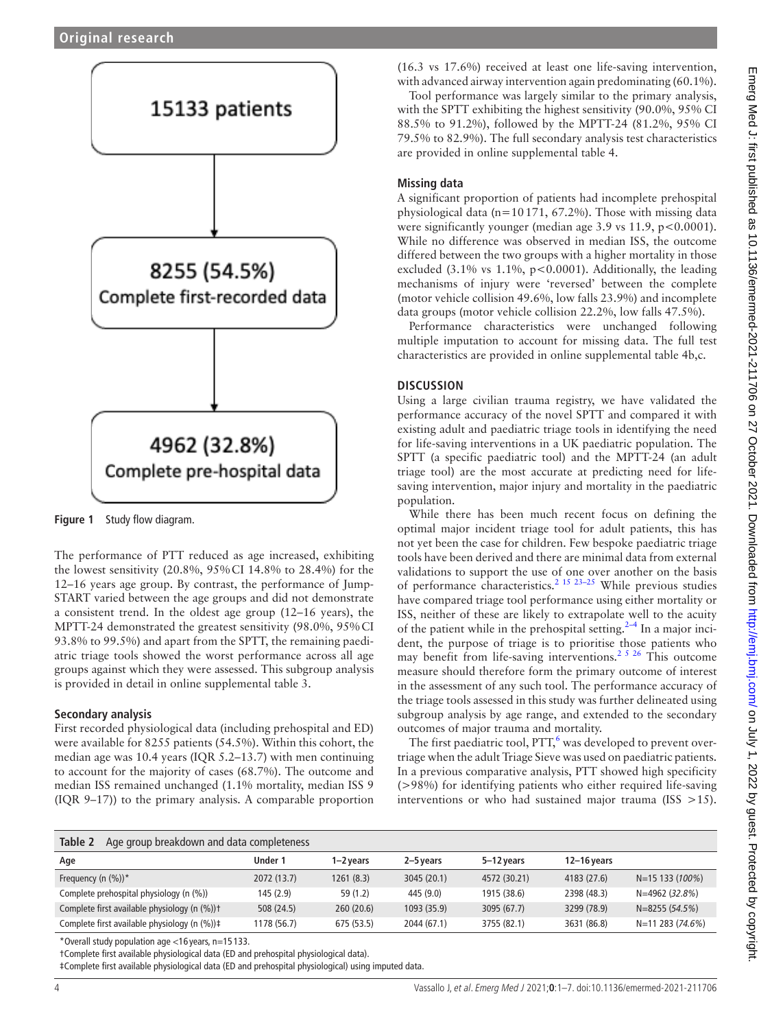

<span id="page-3-0"></span>**Figure 1** Study flow diagram.

The performance of PTT reduced as age increased, exhibiting the lowest sensitivity (20.8%, 95%CI 14.8% to 28.4%) for the 12–16 years age group. By contrast, the performance of Jump-START varied between the age groups and did not demonstrate a consistent trend. In the oldest age group (12–16 years), the MPTT-24 demonstrated the greatest sensitivity (98.0%, 95%CI 93.8% to 99.5%) and apart from the SPTT, the remaining paediatric triage tools showed the worst performance across all age groups against which they were assessed. This subgroup analysis is provided in detail in [online supplemental table 3.](https://dx.doi.org/10.1136/emermed-2021-211706)

# **Secondary analysis**

First recorded physiological data (including prehospital and ED) were available for 8255 patients (54.5%). Within this cohort, the median age was 10.4 years (IQR 5.2–13.7) with men continuing to account for the majority of cases (68.7%). The outcome and median ISS remained unchanged (1.1% mortality, median ISS 9 (IQR 9–17)) to the primary analysis. A comparable proportion

(16.3 vs 17.6%) received at least one life-saving intervention, with advanced airway intervention again predominating (60.1%).

Tool performance was largely similar to the primary analysis, with the SPTT exhibiting the highest sensitivity (90.0%, 95% CI 88.5% to 91.2%), followed by the MPTT-24 (81.2%, 95% CI 79.5% to 82.9%). The full secondary analysis test characteristics are provided in [online supplemental table 4.](https://dx.doi.org/10.1136/emermed-2021-211706)

# **Missing data**

A significant proportion of patients had incomplete prehospital physiological data (n=10171, 67.2%). Those with missing data were significantly younger (median age  $3.9$  vs  $11.9$ ,  $p < 0.0001$ ). While no difference was observed in median ISS, the outcome differed between the two groups with a higher mortality in those excluded (3.1% vs 1.1%, p<0.0001). Additionally, the leading mechanisms of injury were 'reversed' between the complete (motor vehicle collision 49.6%, low falls 23.9%) and incomplete data groups (motor vehicle collision 22.2%, low falls 47.5%).

Performance characteristics were unchanged following multiple imputation to account for missing data. The full test characteristics are provided in [online supplemental table 4b,c.](https://dx.doi.org/10.1136/emermed-2021-211706)

# **DISCUSSION**

Using a large civilian trauma registry, we have validated the performance accuracy of the novel SPTT and compared it with existing adult and paediatric triage tools in identifying the need for life-saving interventions in a UK paediatric population. The SPTT (a specific paediatric tool) and the MPTT-24 (an adult triage tool) are the most accurate at predicting need for lifesaving intervention, major injury and mortality in the paediatric population.

While there has been much recent focus on defining the optimal major incident triage tool for adult patients, this has not yet been the case for children. Few bespoke paediatric triage tools have been derived and there are minimal data from external validations to support the use of one over another on the basis of performance characteristics.<sup>2</sup> <sup>15</sup> <sup>23–25</sup> While previous studies have compared triage tool performance using either mortality or ISS, neither of these are likely to extrapolate well to the acuity of the patient while in the prehospital setting. $2-4$  In a major incident, the purpose of triage is to prioritise those patients who may benefit from life-saving interventions.<sup>2 5 26</sup> This outcome measure should therefore form the primary outcome of interest in the assessment of any such tool. The performance accuracy of the triage tools assessed in this study was further delineated using subgroup analysis by age range, and extended to the secondary outcomes of major trauma and mortality.

The first paediatric tool, PTT,<sup>[6](#page-5-2)</sup> was developed to prevent overtriage when the adult Triage Sieve was used on paediatric patients. In a previous comparative analysis, PTT showed high specificity (>98%) for identifying patients who either required life-saving interventions or who had sustained major trauma (ISS  $>15$ ).

<span id="page-3-1"></span>

| Table 2<br>Age group breakdown and data completeness |             |            |             |              |               |                    |
|------------------------------------------------------|-------------|------------|-------------|--------------|---------------|--------------------|
| Age                                                  | Under 1     | 1–2 vears  | 2–5 vears   | 5-12 years   | $12-16$ years |                    |
| Frequency (n $(\%)$ )*                               | 2072 (13.7) | 1261(8.3)  | 3045 (20.1) | 4572 (30.21) | 4183 (27.6)   | $N=15$ 133 (100%)  |
| Complete prehospital physiology (n (%))              | 145(2.9)    | 59 (1.2)   | 445 (9.0)   | 1915 (38.6)  | 2398 (48.3)   | N=4962 (32.8%)     |
| Complete first available physiology (n (%))t         | 508(24.5)   | 260(20.6)  | 1093 (35.9) | 3095 (67.7)  | 3299 (78.9)   | $N = 8255(54.5%)$  |
| Complete first available physiology (n (%))#         | 1178 (56.7) | 675 (53.5) | 2044 (67.1) | 3755 (82.1)  | 3631 (86.8)   | $N=11$ 283 (74.6%) |

\*Overall study population age <16 years, n=15 133.

†Complete first available physiological data (ED and prehospital physiological data).

‡Complete first available physiological data (ED and prehospital physiological) using imputed data.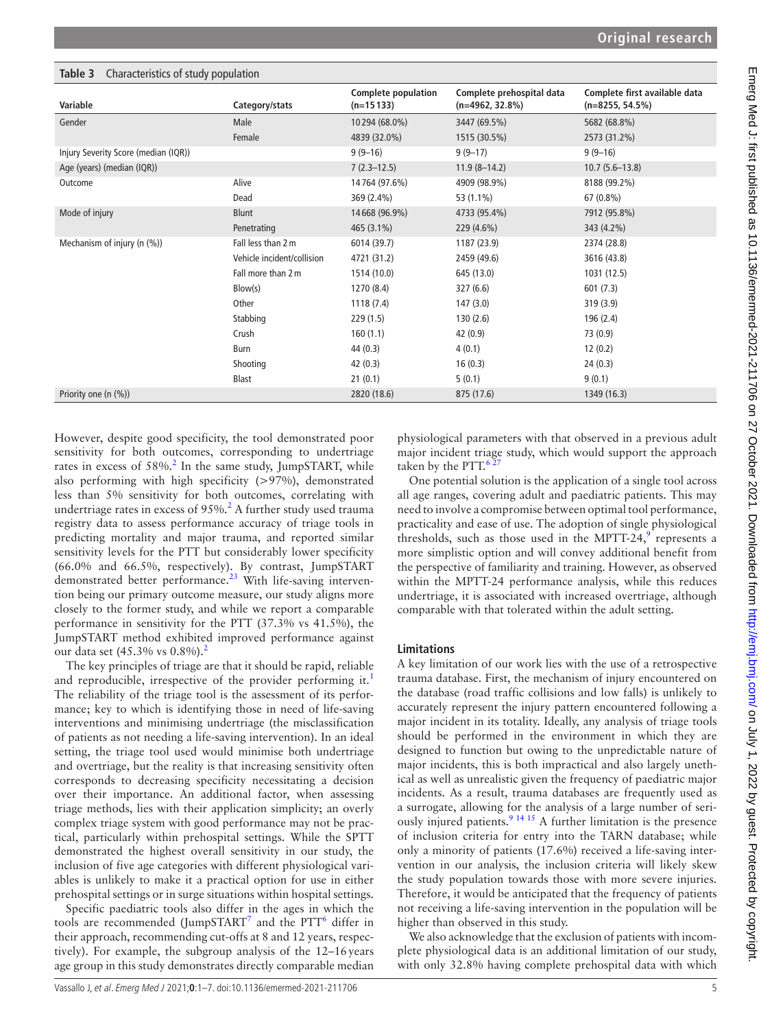| , , ,                                |                            | <b>Complete population</b> | Complete prehospital data | Complete first available data |
|--------------------------------------|----------------------------|----------------------------|---------------------------|-------------------------------|
| Variable                             | Category/stats             | $(n=15133)$                | $(n=4962, 32.8\%)$        | $(n=8255, 54.5\%)$            |
| Gender                               | Male                       | 10294 (68.0%)              | 3447 (69.5%)              | 5682 (68.8%)                  |
|                                      | Female                     | 4839 (32.0%)               | 1515 (30.5%)              | 2573 (31.2%)                  |
| Injury Severity Score (median (IQR)) |                            | $9(9-16)$                  | $9(9-17)$                 | $9(9-16)$                     |
| Age (years) (median (IQR))           |                            | $7(2.3-12.5)$              | $11.9(8-14.2)$            | $10.7(5.6-13.8)$              |
| Outcome                              | Alive                      | 14764 (97.6%)              | 4909 (98.9%)              | 8188 (99.2%)                  |
|                                      | Dead                       | 369 (2.4%)                 | 53 (1.1%)                 | 67 (0.8%)                     |
| Mode of injury                       | Blunt                      | 14668 (96.9%)              | 4733 (95.4%)              | 7912 (95.8%)                  |
|                                      | Penetrating                | 465 (3.1%)                 | 229 (4.6%)                | 343 (4.2%)                    |
| Mechanism of injury (n (%))          | Fall less than 2 m         | 6014 (39.7)                | 1187 (23.9)               | 2374 (28.8)                   |
|                                      | Vehicle incident/collision | 4721 (31.2)                | 2459 (49.6)               | 3616 (43.8)                   |
|                                      | Fall more than 2 m         | 1514 (10.0)                | 645 (13.0)                | 1031 (12.5)                   |
|                                      | Blow(s)                    | 1270 (8.4)                 | 327(6.6)                  | 601(7.3)                      |
|                                      | Other                      | 1118(7.4)                  | 147(3.0)                  | 319 (3.9)                     |
|                                      | Stabbing                   | 229(1.5)                   | 130(2.6)                  | 196 (2.4)                     |
|                                      | Crush                      | 160(1.1)                   | 42 (0.9)                  | 73 (0.9)                      |
|                                      | Burn                       | 44 (0.3)                   | 4(0.1)                    | 12(0.2)                       |
|                                      | Shooting                   | 42(0.3)                    | 16(0.3)                   | 24(0.3)                       |
|                                      | Blast                      | 21(0.1)                    | 5(0.1)                    | 9(0.1)                        |
| Priority one (n (%))                 |                            | 2820 (18.6)                | 875 (17.6)                | 1349 (16.3)                   |

<span id="page-4-0"></span>**Table 3** Characteristics of study population

However, despite good specificity, the tool demonstrated poor sensitivity for both outcomes, corresponding to undertriage rates in excess of  $58\%$ .<sup>[2](#page-5-1)</sup> In the same study, JumpSTART, while also performing with high specificity (>97%), demonstrated less than 5% sensitivity for both outcomes, correlating with undertriage rates in excess of  $95\%$ .<sup>[2](#page-5-1)</sup> A further study used trauma registry data to assess performance accuracy of triage tools in predicting mortality and major trauma, and reported similar sensitivity levels for the PTT but considerably lower specificity (66.0% and 66.5%, respectively). By contrast, JumpSTART demonstrated better performance.<sup>23</sup> With life-saving intervention being our primary outcome measure, our study aligns more closely to the former study, and while we report a comparable performance in sensitivity for the PTT (37.3% vs 41.5%), the JumpSTART method exhibited improved performance against our data set  $(45.3\% \text{ vs } 0.8\%).^2$ 

The key principles of triage are that it should be rapid, reliable and reproducible, irrespective of the provider performing it.<sup>[1](#page-5-0)</sup> The reliability of the triage tool is the assessment of its performance; key to which is identifying those in need of life-saving interventions and minimising undertriage (the misclassification of patients as not needing a life-saving intervention). In an ideal setting, the triage tool used would minimise both undertriage and overtriage, but the reality is that increasing sensitivity often corresponds to decreasing specificity necessitating a decision over their importance. An additional factor, when assessing triage methods, lies with their application simplicity; an overly complex triage system with good performance may not be practical, particularly within prehospital settings. While the SPTT demonstrated the highest overall sensitivity in our study, the inclusion of five age categories with different physiological variables is unlikely to make it a practical option for use in either prehospital settings or in surge situations within hospital settings.

Specific paediatric tools also differ in the ages in which the tools are recommended (JumpSTART<sup>[7](#page-6-0)</sup> and the PTT<sup>[6](#page-5-2)</sup> differ in their approach, recommending cut-offs at 8 and 12 years, respectively). For example, the subgroup analysis of the 12–16years age group in this study demonstrates directly comparable median

physiological parameters with that observed in a previous adult major incident triage study, which would support the approach taken by the PTT. $\frac{6}{3}$ 

One potential solution is the application of a single tool across all age ranges, covering adult and paediatric patients. This may need to involve a compromise between optimal tool performance, practicality and ease of use. The adoption of single physiological thresholds, such as those used in the MPTT-24, $9$  represents a more simplistic option and will convey additional benefit from the perspective of familiarity and training. However, as observed within the MPTT-24 performance analysis, while this reduces undertriage, it is associated with increased overtriage, although comparable with that tolerated within the adult setting.

# **Limitations**

A key limitation of our work lies with the use of a retrospective trauma database. First, the mechanism of injury encountered on the database (road traffic collisions and low falls) is unlikely to accurately represent the injury pattern encountered following a major incident in its totality. Ideally, any analysis of triage tools should be performed in the environment in which they are designed to function but owing to the unpredictable nature of major incidents, this is both impractical and also largely unethical as well as unrealistic given the frequency of paediatric major incidents. As a result, trauma databases are frequently used as a surrogate, allowing for the analysis of a large number of seriously injured patients.<sup>9</sup> <sup>14 15</sup> A further limitation is the presence of inclusion criteria for entry into the TARN database; while only a minority of patients (17.6%) received a life-saving intervention in our analysis, the inclusion criteria will likely skew the study population towards those with more severe injuries. Therefore, it would be anticipated that the frequency of patients not receiving a life-saving intervention in the population will be higher than observed in this study.

We also acknowledge that the exclusion of patients with incomplete physiological data is an additional limitation of our study, with only 32.8% having complete prehospital data with which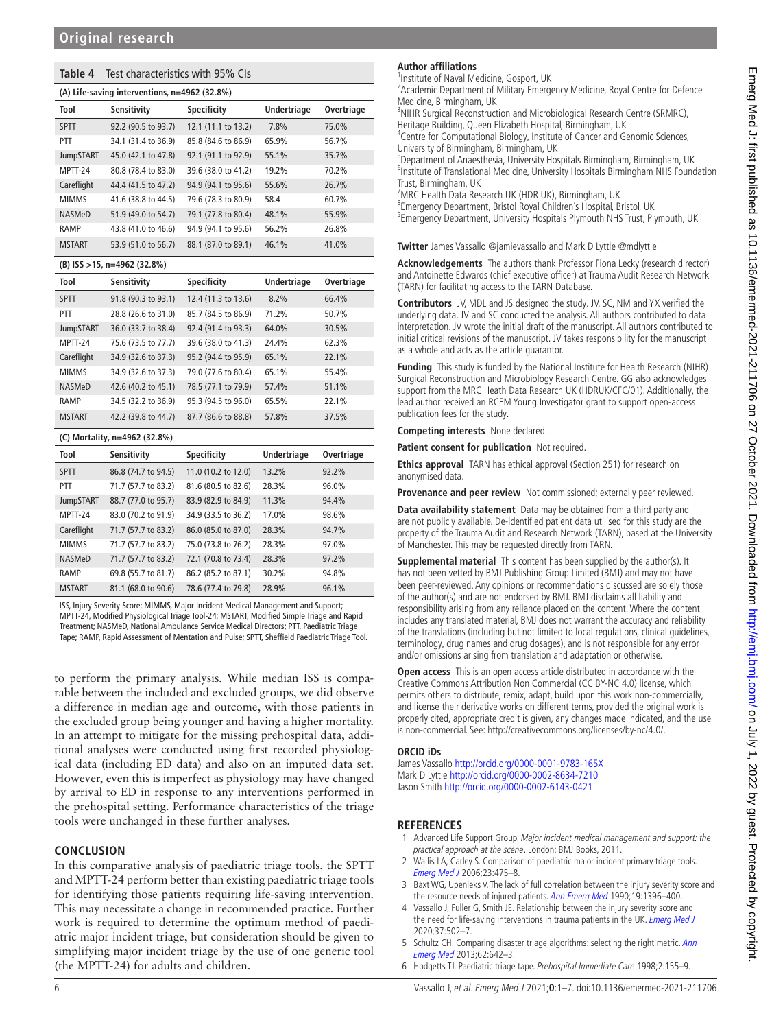<span id="page-5-3"></span>

| Table 4<br>Test characteristics with 95% CIs  |                     |                     |                    |            |  |  |  |
|-----------------------------------------------|---------------------|---------------------|--------------------|------------|--|--|--|
| (A) Life-saving interventions, n=4962 (32.8%) |                     |                     |                    |            |  |  |  |
| Tool                                          | Sensitivity         | <b>Specificity</b>  | <b>Undertriage</b> | Overtriage |  |  |  |
| <b>SPTT</b>                                   | 92.2 (90.5 to 93.7) | 12.1 (11.1 to 13.2) | 7.8%               | 75.0%      |  |  |  |
| PTT                                           | 34.1 (31.4 to 36.9) | 85.8 (84.6 to 86.9) | 65.9%              | 56.7%      |  |  |  |
| <b>JumpSTART</b>                              | 45.0 (42.1 to 47.8) | 92.1 (91.1 to 92.9) | 55.1%              | 35.7%      |  |  |  |
| MPTT-24                                       | 80.8 (78.4 to 83.0) | 39.6 (38.0 to 41.2) | 19.2%              | 70.2%      |  |  |  |
| Careflight                                    | 44.4 (41.5 to 47.2) | 94.9 (94.1 to 95.6) | 55.6%              | 26.7%      |  |  |  |
| <b>MIMMS</b>                                  | 41.6 (38.8 to 44.5) | 79.6 (78.3 to 80.9) | 58.4               | 60.7%      |  |  |  |
| NASMeD                                        | 51.9 (49.0 to 54.7) | 79.1 (77.8 to 80.4) | 48.1%              | 55.9%      |  |  |  |
| RAMP                                          | 43.8 (41.0 to 46.6) | 94.9 (94.1 to 95.6) | 56.2%              | 26.8%      |  |  |  |
| <b>MSTART</b>                                 | 53.9 (51.0 to 56.7) | 88.1 (87.0 to 89.1) | 46.1%              | 41.0%      |  |  |  |
| (B) ISS >15, n=4962 (32.8%)                   |                     |                     |                    |            |  |  |  |
| Tool                                          | Sensitivity         | <b>Specificity</b>  | <b>Undertriage</b> | Overtriage |  |  |  |
| <b>SPTT</b>                                   | 91.8 (90.3 to 93.1) | 12.4 (11.3 to 13.6) | 8.2%               | 66.4%      |  |  |  |
| PTT                                           | 28.8 (26.6 to 31.0) | 85.7 (84.5 to 86.9) | 71.2%              | 50.7%      |  |  |  |
| <b>JumpSTART</b>                              | 36.0 (33.7 to 38.4) | 92.4 (91.4 to 93.3) | 64.0%              | 30.5%      |  |  |  |
| MPTT-24                                       | 75.6 (73.5 to 77.7) | 39.6 (38.0 to 41.3) | 24.4%              | 62.3%      |  |  |  |
| Careflight                                    | 34.9 (32.6 to 37.3) | 95.2 (94.4 to 95.9) | 65.1%              | 22.1%      |  |  |  |
| <b>MIMMS</b>                                  | 34.9 (32.6 to 37.3) | 79.0 (77.6 to 80.4) | 65.1%              | 55.4%      |  |  |  |
| <b>NASMeD</b>                                 | 42.6 (40.2 to 45.1) | 78.5 (77.1 to 79.9) | 57.4%              | 51.1%      |  |  |  |
| RAMP                                          | 34.5 (32.2 to 36.9) | 95.3 (94.5 to 96.0) | 65.5%              | 22.1%      |  |  |  |
| <b>MSTART</b>                                 | 42.2 (39.8 to 44.7) | 87.7 (86.6 to 88.8) | 57.8%              | 37.5%      |  |  |  |
| (C) Mortality, n=4962 (32.8%)                 |                     |                     |                    |            |  |  |  |
| Tool                                          | Sensitivity         | <b>Specificity</b>  | <b>Undertriage</b> | Overtriage |  |  |  |
| <b>SPTT</b>                                   | 86.8 (74.7 to 94.5) | 11.0 (10.2 to 12.0) | 13.2%              | 92.2%      |  |  |  |
| PTT                                           | 71.7 (57.7 to 83.2) | 81.6 (80.5 to 82.6) | 28.3%              | 96.0%      |  |  |  |
| <b>JumpSTART</b>                              | 88.7 (77.0 to 95.7) | 83.9 (82.9 to 84.9) | 11.3%              | 94.4%      |  |  |  |
| MPTT-24                                       | 83.0 (70.2 to 91.9) | 34.9 (33.5 to 36.2) | 17.0%              | 98.6%      |  |  |  |
| Careflight                                    | 71.7 (57.7 to 83.2) | 86.0 (85.0 to 87.0) | 28.3%              | 94.7%      |  |  |  |
| <b>MIMMS</b>                                  | 71.7 (57.7 to 83.2) | 75.0 (73.8 to 76.2) | 28.3%              | 97.0%      |  |  |  |
| NASMeD                                        | 71.7 (57.7 to 83.2) | 72.1 (70.8 to 73.4) | 28.3%              | 97.2%      |  |  |  |
| RAMP                                          | 69.8 (55.7 to 81.7) | 86.2 (85.2 to 87.1) | 30.2%              | 94.8%      |  |  |  |
| <b>MSTART</b>                                 | 81.1 (68.0 to 90.6) | 78.6 (77.4 to 79.8) | 28.9%              | 96.1%      |  |  |  |

ISS, Injury Severity Score; MIMMS, Major Incident Medical Management and Support; MPTT-24, Modified Physiological Triage Tool-24; MSTART, Modified Simple Triage and Rapid Treatment; NASMeD, National Ambulance Service Medical Directors; PTT, Paediatric Triage Tape; RAMP, Rapid Assessment of Mentation and Pulse; SPTT, Sheffield Paediatric Triage Tool.

to perform the primary analysis. While median ISS is comparable between the included and excluded groups, we did observe a difference in median age and outcome, with those patients in the excluded group being younger and having a higher mortality. In an attempt to mitigate for the missing prehospital data, additional analyses were conducted using first recorded physiological data (including ED data) and also on an imputed data set. However, even this is imperfect as physiology may have changed by arrival to ED in response to any interventions performed in the prehospital setting. Performance characteristics of the triage tools were unchanged in these further analyses.

## **CONCLUSION**

In this comparative analysis of paediatric triage tools, the SPTT and MPTT-24 perform better than existing paediatric triage tools for identifying those patients requiring life-saving intervention. This may necessitate a change in recommended practice. Further work is required to determine the optimum method of paediatric major incident triage, but consideration should be given to simplifying major incident triage by the use of one generic tool (the MPTT-24) for adults and children.

# **Author affiliations**

1 Institute of Naval Medicine, Gosport, UK

<sup>2</sup> Academic Department of Military Emergency Medicine, Royal Centre for Defence Medicine, Birmingham, UK

<sup>3</sup>NIHR Surgical Reconstruction and Microbiological Research Centre (SRMRC),

Heritage Building, Queen Elizabeth Hospital, Birmingham, UK <sup>4</sup> Centre for Computational Biology, Institute of Cancer and Genomic Sciences, University of Birmingham, Birmingham, UK

<sup>5</sup>Department of Anaesthesia, University Hospitals Birmingham, Birmingham, UK <sup>6</sup>Institute of Translational Medicine, University Hospitals Birmingham NHS Foundation Trust, Birmingham, UK

7 MRC Health Data Research UK (HDR UK), Birmingham, UK

8 Emergency Department, Bristol Royal Children's Hospital, Bristol, UK 9 Emergency Department, University Hospitals Plymouth NHS Trust, Plymouth, UK

**Twitter** James Vassallo [@jamievassallo](https://twitter.com/jamievassallo) and Mark D Lyttle [@mdlyttle](https://twitter.com/mdlyttle)

**Acknowledgements** The authors thank Professor Fiona Lecky (research director) and Antoinette Edwards (chief executive officer) at Trauma Audit Research Network (TARN) for facilitating access to the TARN Database.

**Contributors** JV, MDL and JS designed the study. JV, SC, NM and YX verified the underlying data. JV and SC conducted the analysis. All authors contributed to data interpretation. JV wrote the initial draft of the manuscript. All authors contributed to initial critical revisions of the manuscript. JV takes responsibility for the manuscript as a whole and acts as the article guarantor.

**Funding** This study is funded by the National Institute for Health Research (NIHR) Surgical Reconstruction and Microbiology Research Centre. GG also acknowledges support from the MRC Heath Data Research UK (HDRUK/CFC/01). Additionally, the lead author received an RCEM Young Investigator grant to support open-access publication fees for the study.

**Competing interests** None declared.

**Patient consent for publication** Not required.

**Ethics approval** TARN has ethical approval (Section 251) for research on anonymised data.

**Provenance and peer review** Not commissioned; externally peer reviewed.

**Data availability statement** Data may be obtained from a third party and are not publicly available. De-identified patient data utilised for this study are the property of the Trauma Audit and Research Network (TARN), based at the University of Manchester. This may be requested directly from TARN.

**Supplemental material** This content has been supplied by the author(s). It has not been vetted by BMJ Publishing Group Limited (BMJ) and may not have been peer-reviewed. Any opinions or recommendations discussed are solely those of the author(s) and are not endorsed by BMJ. BMJ disclaims all liability and responsibility arising from any reliance placed on the content. Where the content includes any translated material, BMJ does not warrant the accuracy and reliability of the translations (including but not limited to local regulations, clinical guidelines, terminology, drug names and drug dosages), and is not responsible for any error and/or omissions arising from translation and adaptation or otherwise.

**Open access** This is an open access article distributed in accordance with the Creative Commons Attribution Non Commercial (CC BY-NC 4.0) license, which permits others to distribute, remix, adapt, build upon this work non-commercially, and license their derivative works on different terms, provided the original work is properly cited, appropriate credit is given, any changes made indicated, and the use is non-commercial. See: [http://creativecommons.org/licenses/by-nc/4.0/.](http://creativecommons.org/licenses/by-nc/4.0/)

## **ORCID iDs**

James Vassallo<http://orcid.org/0000-0001-9783-165X> Mark D Lyttle<http://orcid.org/0000-0002-8634-7210> Jason Smith<http://orcid.org/0000-0002-6143-0421>

# **REFERENCES**

- <span id="page-5-0"></span>1 Advanced Life Support Group. Major incident medical management and support: the practical approach at the scene. London: BMJ Books, 2011.
- <span id="page-5-1"></span>2 Wallis LA, Carley S. Comparison of paediatric major incident primary triage tools. [Emerg Med J](http://dx.doi.org/10.1136/emj.2005.032672) 2006;23:475–8.
- 3 Baxt WG, Upenieks V. The lack of full correlation between the injury severity score and the resource needs of injured patients. [Ann Emerg Med](http://dx.doi.org/10.1016/S0196-0644(05)82606-X) 1990;19:1396–400.
- 4 Vassallo J, Fuller G, Smith JE. Relationship between the injury severity score and the need for life-saving interventions in trauma patients in the UK. [Emerg Med J](http://dx.doi.org/10.1136/emermed-2019-209092) 2020;37:502–7.
- 5 Schultz CH. Comparing disaster triage algorithms: selecting the right metric. Ann [Emerg Med](http://dx.doi.org/10.1016/j.annemergmed.2013.05.034) 2013;62:642–3.
- <span id="page-5-2"></span>6 Hodgetts TJ. Paediatric triage tape. Prehospital Immediate Care 1998;2:155–9.